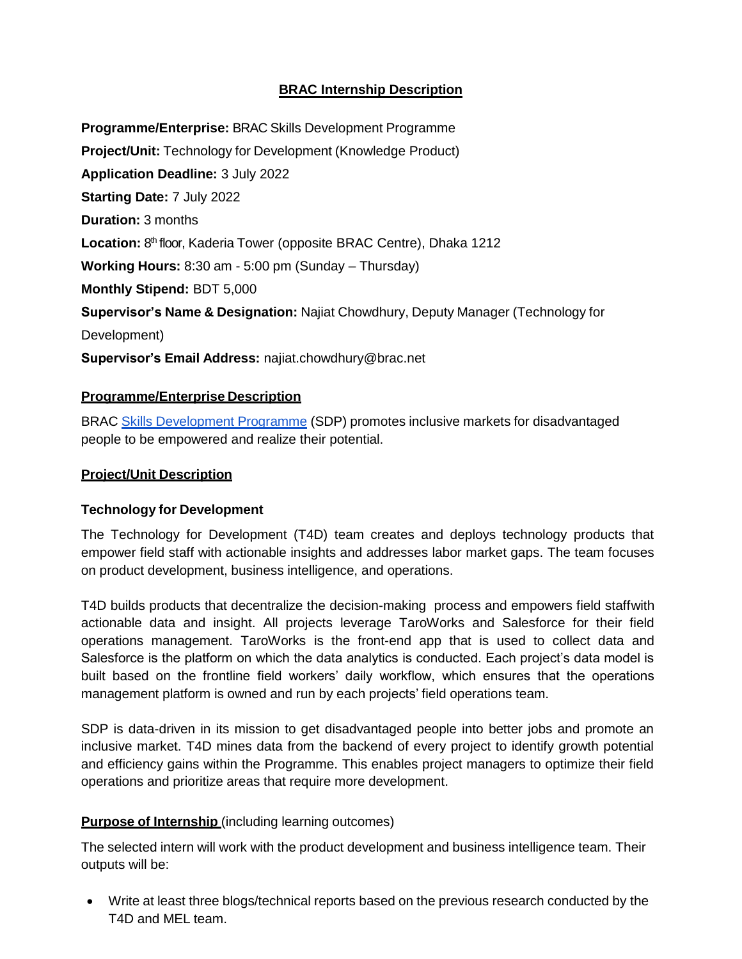# **BRAC Internship Description**

**Programme/Enterprise:** BRAC Skills Development Programme **Project/Unit:** Technology for Development (Knowledge Product) **Application Deadline:** 3 July 2022 **Starting Date:** 7 July 2022 **Duration:** 3 months Location: 8<sup>th</sup> floor, Kaderia Tower (opposite BRAC Centre), Dhaka 1212 **Working Hours:** 8:30 am - 5:00 pm (Sunday – Thursday) **Monthly Stipend:** BDT 5,000 **Supervisor's Name & Designation:** Najiat Chowdhury, Deputy Manager (Technology for Development) **Supervisor's Email Address:** [najiat.chowdhury@brac.net](mailto:najiat.chowdhury@brac.net)

## **Programme/Enterprise Description**

BRAC Skills [Development](http://www.brac.net/program/skills-development/) Programme (SDP) promotes inclusive markets for disadvantaged people to be empowered and realize their potential.

## **Project/Unit Description**

## **Technology for Development**

The Technology for Development (T4D) team creates and deploys technology products that empower field staff with actionable insights and addresses labor market gaps. The team focuses on product development, business intelligence, and operations.

T4D builds products that decentralize the decision-making process and empowers field staffwith actionable data and insight. All projects leverage TaroWorks and Salesforce for their field operations management. TaroWorks is the front-end app that is used to collect data and Salesforce is the platform on which the data analytics is conducted. Each project's data model is built based on the frontline field workers' daily workflow, which ensures that the operations management platform is owned and run by each projects' field operations team.

SDP is data-driven in its mission to get disadvantaged people into better jobs and promote an inclusive market. T4D mines data from the backend of every project to identify growth potential and efficiency gains within the Programme. This enables project managers to optimize their field operations and prioritize areas that require more development.

# **Purpose of Internship** (including learning outcomes)

The selected intern will work with the product development and business intelligence team. Their outputs will be:

 Write at least three blogs/technical reports based on the previous research conducted by the T4D and MEL team.